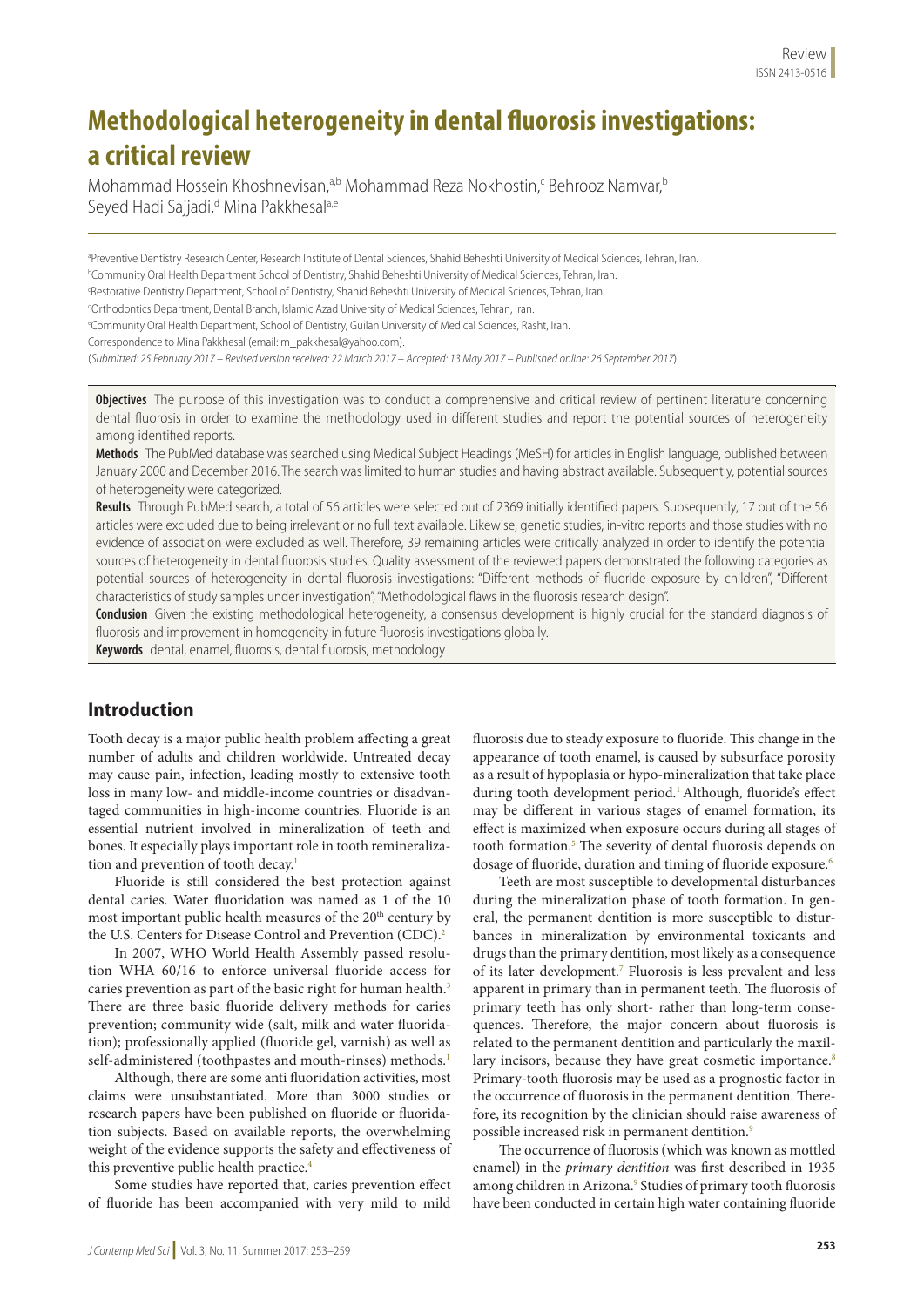# **Methodological heterogeneity in dental fluorosis investigations: a critical review**

Mohammad Hossein Khoshnevisan,<sup>a,b</sup> Mohammad Reza Nokhostin,<sup>c</sup> Behrooz Namvar,<sup>e</sup> Seyed Hadi Sajjadi,<sup>d</sup> Mina Pakkhesal<sup>a,e</sup>

a Preventive Dentistry Research Center, Research Institute of Dental Sciences, Shahid Beheshti University of Medical Sciences, Tehran, Iran. b Community Oral Health Department School of Dentistry, Shahid Beheshti University of Medical Sciences, Tehran, Iran. c Restorative Dentistry Department, School of Dentistry, Shahid Beheshti University of Medical Sciences, Tehran, Iran.

dOrthodontics Department, Dental Branch, Islamic Azad University of Medical Sciences, Tehran, Iran.

e Community Oral Health Department, School of Dentistry, Guilan University of Medical Sciences, Rasht, Iran.

Correspondence to Mina Pakkhesal (email: m\_pakkhesal@yahoo.com).

(*Submitted: 25 February 2017 – Revised version received: 22 March 2017 – Accepted: 13 May 2017 – Published online: 26 September 2017*)

**Objectives** The purpose of this investigation was to conduct a comprehensive and critical review of pertinent literature concerning dental fluorosis in order to examine the methodology used in different studies and report the potential sources of heterogeneity among identified reports.

**Methods** The PubMed database was searched using Medical Subject Headings (MeSH) for articles in English language, published between January 2000 and December 2016. The search was limited to human studies and having abstract available. Subsequently, potential sources of heterogeneity were categorized.

**Results** Through PubMed search, a total of 56 articles were selected out of 2369 initially identified papers. Subsequently, 17 out of the 56 articles were excluded due to being irrelevant or no full text available. Likewise, genetic studies, in-vitro reports and those studies with no evidence of association were excluded as well. Therefore, 39 remaining articles were critically analyzed in order to identify the potential sources of heterogeneity in dental fluorosis studies. Quality assessment of the reviewed papers demonstrated the following categories as potential sources of heterogeneity in dental fluorosis investigations: "Different methods of fluoride exposure by children", "Different characteristics of study samples under investigation", "Methodological flaws in the fluorosis research design".

**Conclusion** Given the existing methodological heterogeneity, a consensus development is highly crucial for the standard diagnosis of fluorosis and improvement in homogeneity in future fluorosis investigations globally.

**Keywords** dental, enamel, fluorosis, dental fluorosis, methodology

## **Introduction**

Tooth decay is a major public health problem affecting a great number of adults and children worldwide. Untreated decay may cause pain, infection, leading mostly to extensive tooth loss in many low- and middle-income countries or disadvantaged communities in high-income countries. Fluoride is an essential nutrient involved in mineralization of teeth and bones. It especially plays important role in tooth remineralization and prevention of tooth decay.<sup>1</sup>

Fluoride is still considered the best protection against dental caries. Water fluoridation was named as 1 of the 10 most important public health measures of the 20<sup>th</sup> century by the U.S. Centers for Disease Control and Prevention (CDC).<sup>2</sup>

In 2007, WHO World Health Assembly passed resolution WHA 60/16 to enforce universal fluoride access for caries prevention as part of the basic right for human health.<sup>3</sup> There are three basic fluoride delivery methods for caries prevention; community wide (salt, milk and water fluoridation); professionally applied (fluoride gel, varnish) as well as self-administered (toothpastes and mouth-rinses) methods.<sup>1</sup>

Although, there are some anti fluoridation activities, most claims were unsubstantiated. More than 3000 studies or research papers have been published on fluoride or fluoridation subjects. Based on available reports, the overwhelming weight of the evidence supports the safety and effectiveness of this preventive public health practice.<sup>4</sup>

Some studies have reported that, caries prevention effect of fluoride has been accompanied with very mild to mild

fluorosis due to steady exposure to fluoride. This change in the appearance of tooth enamel, is caused by subsurface porosity as a result of hypoplasia or hypo-mineralization that take place during tooth development period.<sup>1</sup> Although, fluoride's effect may be different in various stages of enamel formation, its effect is maximized when exposure occurs during all stages of tooth formation.<sup>5</sup> The severity of dental fluorosis depends on dosage of fluoride, duration and timing of fluoride exposure.<sup>6</sup>

Teeth are most susceptible to developmental disturbances during the mineralization phase of tooth formation. In general, the permanent dentition is more susceptible to disturbances in mineralization by environmental toxicants and drugs than the primary dentition, most likely as a consequence of its later development.7 Fluorosis is less prevalent and less apparent in primary than in permanent teeth. The fluorosis of primary teeth has only short- rather than long-term consequences. Therefore, the major concern about fluorosis is related to the permanent dentition and particularly the maxillary incisors, because they have great cosmetic importance.<sup>8</sup> Primary-tooth fluorosis may be used as a prognostic factor in the occurrence of fluorosis in the permanent dentition. Therefore, its recognition by the clinician should raise awareness of possible increased risk in permanent dentition.<sup>9</sup>

The occurrence of fluorosis (which was known as mottled enamel) in the *primary dentition* was first described in 1935 among children in Arizona.<sup>9</sup> Studies of primary tooth fluorosis have been conducted in certain high water containing fluoride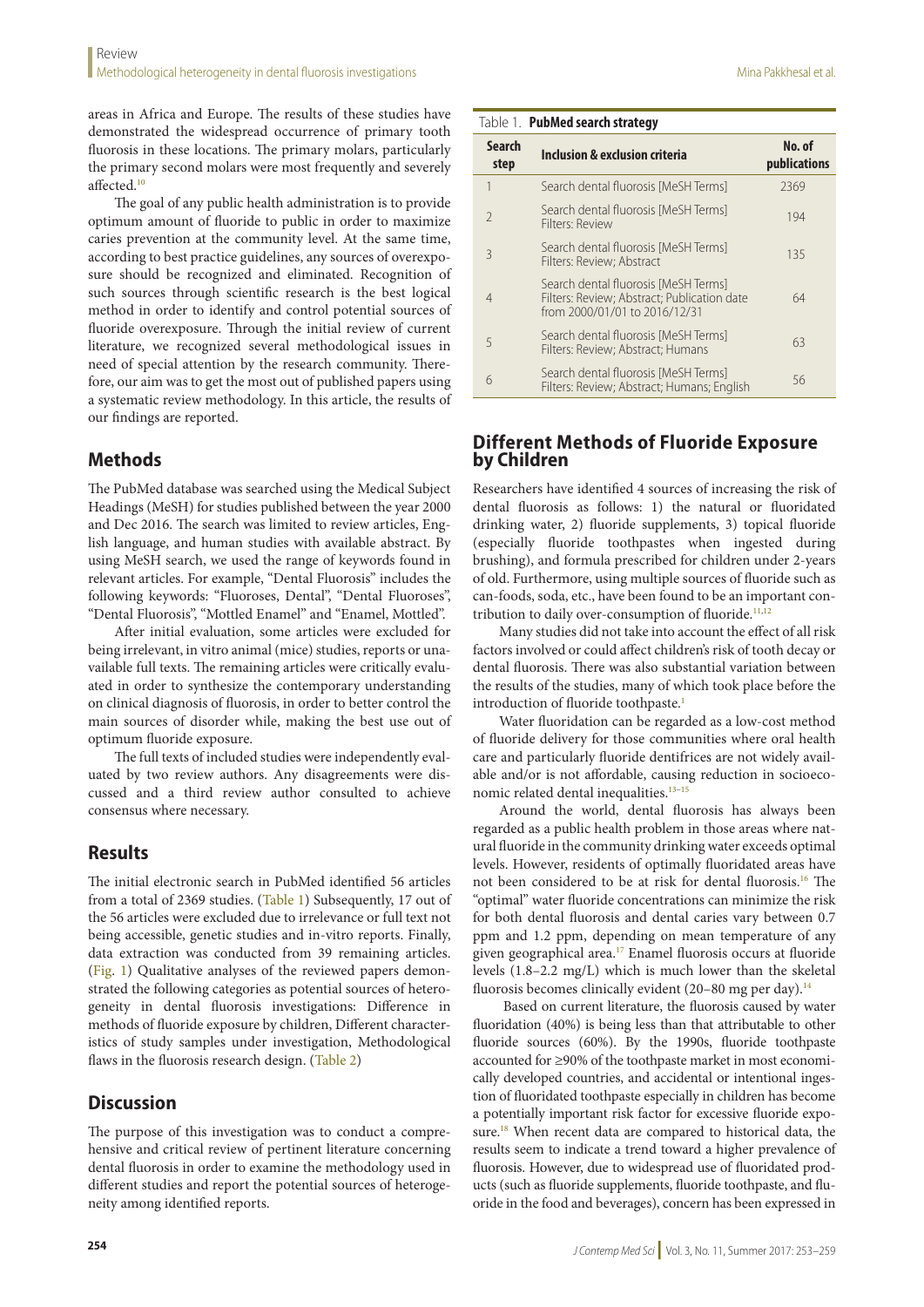areas in Africa and Europe. The results of these studies have demonstrated the widespread occurrence of primary tooth fluorosis in these locations. The primary molars, particularly the primary second molars were most frequently and severely affected.<sup>10</sup>

The goal of any public health administration is to provide optimum amount of fluoride to public in order to maximize caries prevention at the community level. At the same time, according to best practice guidelines, any sources of overexposure should be recognized and eliminated. Recognition of such sources through scientific research is the best logical method in order to identify and control potential sources of fluoride overexposure. Through the initial review of current literature, we recognized several methodological issues in need of special attention by the research community. Therefore, our aim was to get the most out of published papers using a systematic review methodology. In this article, the results of our findings are reported.

# **Methods**

The PubMed database was searched using the Medical Subject Headings (MeSH) for studies published between the year 2000 and Dec 2016. The search was limited to review articles, English language, and human studies with available abstract. By using MeSH search, we used the range of keywords found in relevant articles. For example, "Dental Fluorosis" includes the following keywords: "Fluoroses, Dental", "Dental Fluoroses", "Dental Fluorosis", "Mottled Enamel" and "Enamel, Mottled".

After initial evaluation, some articles were excluded for being irrelevant, in vitro animal (mice) studies, reports or unavailable full texts. The remaining articles were critically evaluated in order to synthesize the contemporary understanding on clinical diagnosis of fluorosis, in order to better control the main sources of disorder while, making the best use out of optimum fluoride exposure.

The full texts of included studies were independently evaluated by two review authors. Any disagreements were discussed and a third review author consulted to achieve consensus where necessary.

# **Results**

The initial electronic search in PubMed identified 56 articles from a total of 2369 studies. (Table 1) Subsequently, 17 out of the 56 articles were excluded due to irrelevance or full text not being accessible, genetic studies and in-vitro reports. Finally, data extraction was conducted from 39 remaining articles. (Fig. 1) Qualitative analyses of the reviewed papers demonstrated the following categories as potential sources of heterogeneity in dental fluorosis investigations: Difference in methods of fluoride exposure by children, Different characteristics of study samples under investigation, Methodological flaws in the fluorosis research design. (Table 2)

# **Discussion**

The purpose of this investigation was to conduct a comprehensive and critical review of pertinent literature concerning dental fluorosis in order to examine the methodology used in different studies and report the potential sources of heterogeneity among identified reports.

| Table 1. PubMed search strategy |  |
|---------------------------------|--|
|                                 |  |

|                       | - -                                                                                                                  |                        |
|-----------------------|----------------------------------------------------------------------------------------------------------------------|------------------------|
| <b>Search</b><br>step | <b>Inclusion &amp; exclusion criteria</b>                                                                            | No. of<br>publications |
| 1                     | Search dental fluorosis [MeSH Terms]                                                                                 | 2369                   |
| $\mathcal{P}$         | Search dental fluorosis [MeSH Terms]<br>Filters: Review                                                              | 194                    |
| 3                     | Search dental fluorosis [MeSH Terms]<br>Filters: Review; Abstract                                                    | 135                    |
| $\overline{4}$        | Search dental fluorosis [MeSH Terms]<br>Filters: Review: Abstract: Publication date<br>from 2000/01/01 to 2016/12/31 | 64                     |
| 5                     | Search dental fluorosis [MeSH Terms]<br>Filters: Review; Abstract; Humans                                            | 63                     |
| 6                     | Search dental fluorosis [MeSH Terms]<br>Filters: Review; Abstract; Humans; English                                   | 56                     |

# **Different Methods of Fluoride Exposure by Children**

Researchers have identified 4 sources of increasing the risk of dental fluorosis as follows: 1) the natural or fluoridated drinking water, 2) fluoride supplements, 3) topical fluoride (especially fluoride toothpastes when ingested during brushing), and formula prescribed for children under 2-years of old. Furthermore, using multiple sources of fluoride such as can-foods, soda, etc., have been found to be an important contribution to daily over-consumption of fluoride.<sup>11,12</sup>

Many studies did not take into account the effect of all risk factors involved or could affect children's risk of tooth decay or dental fluorosis. There was also substantial variation between the results of the studies, many of which took place before the introduction of fluoride toothpaste.<sup>1</sup>

Water fluoridation can be regarded as a low-cost method of fluoride delivery for those communities where oral health care and particularly fluoride dentifrices are not widely available and/or is not affordable, causing reduction in socioeconomic related dental inequalities.<sup>13-15</sup>

Around the world, dental fluorosis has always been regarded as a public health problem in those areas where natural fluoride in the community drinking water exceeds optimal levels. However, residents of optimally fluoridated areas have not been considered to be at risk for dental fluorosis.16 The "optimal" water fluoride concentrations can minimize the risk for both dental fluorosis and dental caries vary between 0.7 ppm and 1.2 ppm, depending on mean temperature of any given geographical area.17 Enamel fluorosis occurs at fluoride levels (1.8–2.2 mg/L) which is much lower than the skeletal fluorosis becomes clinically evident (20–80 mg per day).<sup>14</sup>

Based on current literature, the fluorosis caused by water fluoridation (40%) is being less than that attributable to other fluoride sources (60%). By the 1990s, fluoride toothpaste accounted for ≥90% of the toothpaste market in most economically developed countries, and accidental or intentional ingestion of fluoridated toothpaste especially in children has become a potentially important risk factor for excessive fluoride exposure.<sup>18</sup> When recent data are compared to historical data, the results seem to indicate a trend toward a higher prevalence of fluorosis. However, due to widespread use of fluoridated products (such as fluoride supplements, fluoride toothpaste, and fluoride in the food and beverages), concern has been expressed in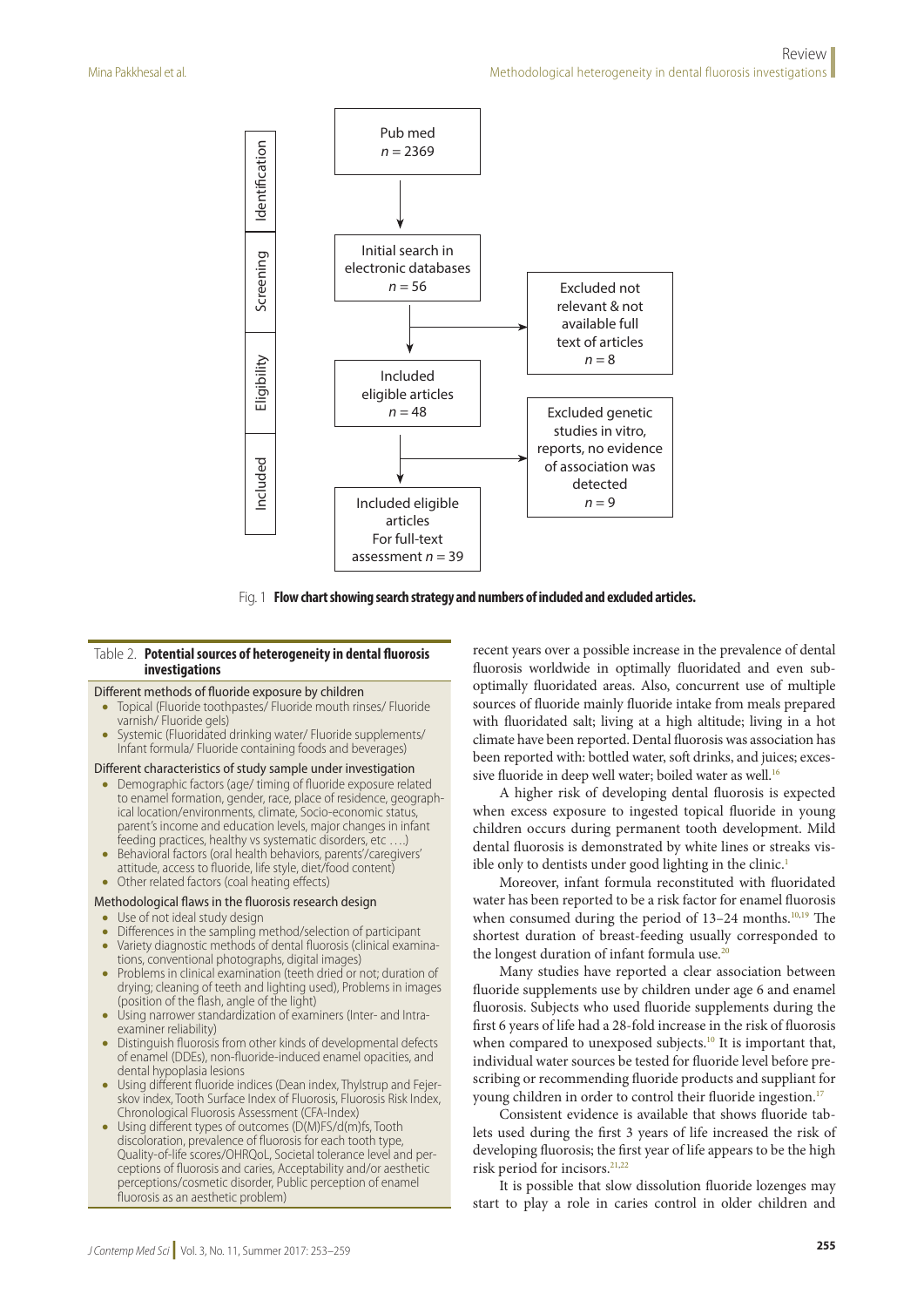

Fig. 1 **Flow chart showing search strategy and numbers of included and excluded articles.**

### Table 2. **Potential sources of heterogeneity in dental fluorosis investigations**

#### Different methods of fluoride exposure by children

- Topical (Fluoride toothpastes/ Fluoride mouth rinses/ Fluoride varnish/ Fluoride gels)
- Systemic (Fluoridated drinking water/ Fluoride supplements/ Infant formula/ Fluoride containing foods and beverages)

#### Different characteristics of study sample under investigation

- Demographic factors (age/ timing of fluoride exposure related to enamel formation, gender, race, place of residence, geographical location/environments, climate, Socio-economic status, parent's income and education levels, major changes in infant feeding practices, healthy vs systematic disorders, etc ....)
- Behavioral factors (oral health behaviors, parents'/caregivers' attitude, access to fluoride, life style, diet/food content)
- Other related factors (coal heating effects)

#### Methodological flaws in the fluorosis research design

- Use of not ideal study design
- Differences in the sampling method/selection of participant
- Variety diagnostic methods of dental fluorosis (clinical examinations, conventional photographs, digital images)
- Problems in clinical examination (teeth dried or not; duration of drying; cleaning of teeth and lighting used), Problems in images (position of the flash, angle of the light)
- Using narrower standardization of examiners (Inter- and Intraexaminer reliability)
- Distinguish fluorosis from other kinds of developmental defects of enamel (DDEs), non-fluoride-induced enamel opacities, and dental hypoplasia lesions
- Using different fluoride indices (Dean index, Thylstrup and Feierskov index, Tooth Surface Index of Fluorosis, Fluorosis Risk Index, Chronological Fluorosis Assessment (CFA-Index)
- Using different types of outcomes (D(M)FS/d(m)fs, Tooth discoloration, prevalence of fluorosis for each tooth type, Quality-of-life scores/OHRQoL, Societal tolerance level and perceptions of fluorosis and caries, Acceptability and/or aesthetic perceptions/cosmetic disorder, Public perception of enamel fluorosis as an aesthetic problem)

recent years over a possible increase in the prevalence of dental fluorosis worldwide in optimally fluoridated and even suboptimally fluoridated areas. Also, concurrent use of multiple sources of fluoride mainly fluoride intake from meals prepared with fluoridated salt; living at a high altitude; living in a hot climate have been reported. Dental fluorosis was association has been reported with: bottled water, soft drinks, and juices; excessive fluoride in deep well water; boiled water as well.<sup>16</sup>

A higher risk of developing dental fluorosis is expected when excess exposure to ingested topical fluoride in young children occurs during permanent tooth development. Mild dental fluorosis is demonstrated by white lines or streaks visible only to dentists under good lighting in the clinic.<sup>1</sup>

Moreover, infant formula reconstituted with fluoridated water has been reported to be a risk factor for enamel fluorosis when consumed during the period of  $13-24$  months.<sup>10,19</sup> The shortest duration of breast-feeding usually corresponded to the longest duration of infant formula use.<sup>20</sup>

Many studies have reported a clear association between fluoride supplements use by children under age 6 and enamel fluorosis. Subjects who used fluoride supplements during the first 6 years of life had a 28-fold increase in the risk of fluorosis when compared to unexposed subjects.<sup>10</sup> It is important that, individual water sources be tested for fluoride level before prescribing or recommending fluoride products and suppliant for young children in order to control their fluoride ingestion.<sup>17</sup>

Consistent evidence is available that shows fluoride tablets used during the first 3 years of life increased the risk of developing fluorosis; the first year of life appears to be the high risk period for incisors.<sup>21,22</sup>

It is possible that slow dissolution fluoride lozenges may start to play a role in caries control in older children and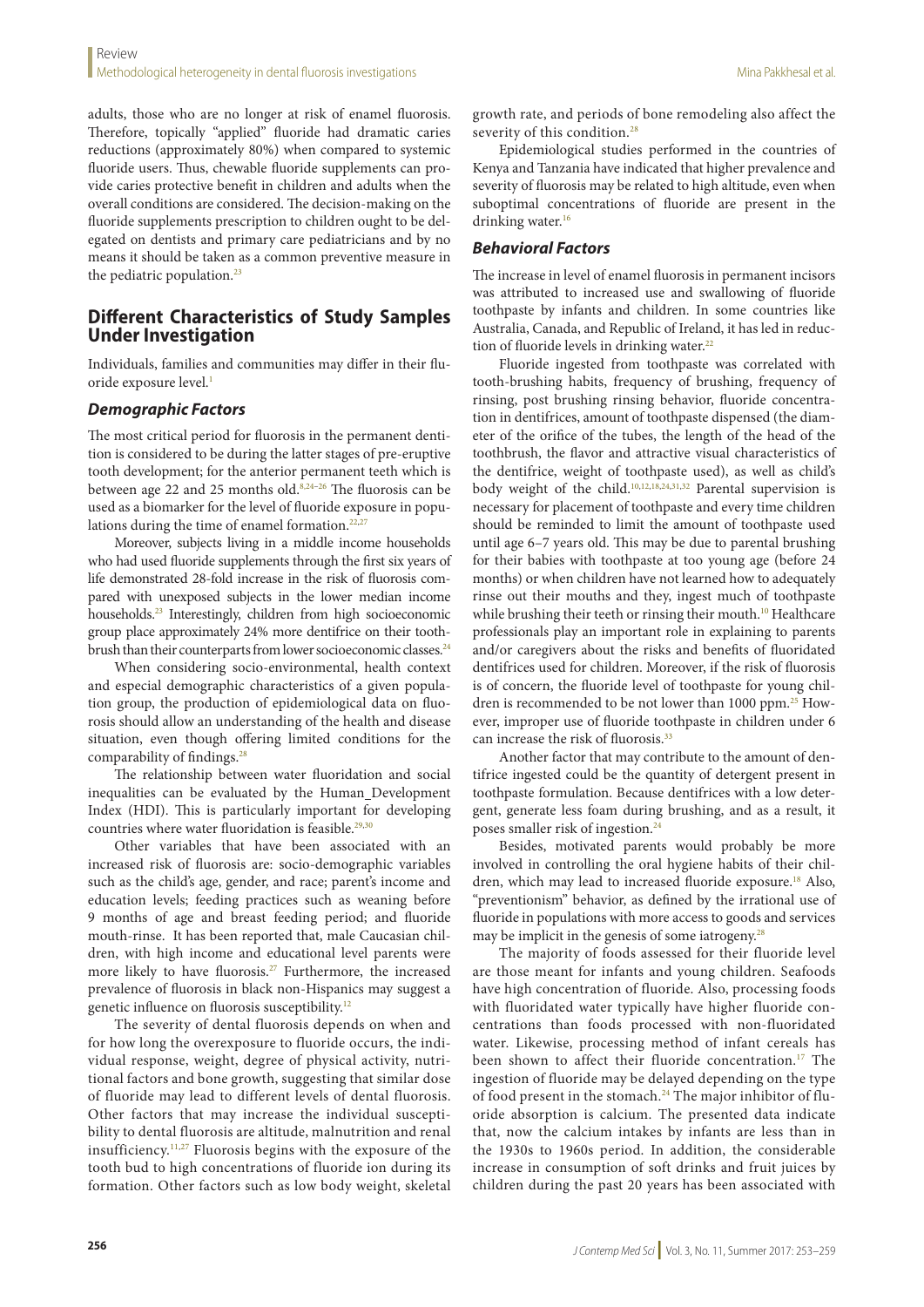adults, those who are no longer at risk of enamel fluorosis. Therefore, topically "applied" fluoride had dramatic caries reductions (approximately 80%) when compared to systemic fluoride users. Thus, chewable fluoride supplements can provide caries protective benefit in children and adults when the overall conditions are considered. The decision-making on the fluoride supplements prescription to children ought to be delegated on dentists and primary care pediatricians and by no means it should be taken as a common preventive measure in the pediatric population.<sup>23</sup>

# **Different Characteristics of Study Samples Under Investigation**

Individuals, families and communities may differ in their fluoride exposure level.<sup>1</sup>

## *Demographic Factors*

The most critical period for fluorosis in the permanent dentition is considered to be during the latter stages of pre-eruptive tooth development; for the anterior permanent teeth which is between age 22 and 25 months old.<sup>8,24-26</sup> The fluorosis can be used as a biomarker for the level of fluoride exposure in populations during the time of enamel formation. $22,27$ 

Moreover, subjects living in a middle income households who had used fluoride supplements through the first six years of life demonstrated 28-fold increase in the risk of fluorosis compared with unexposed subjects in the lower median income households.<sup>23</sup> Interestingly, children from high socioeconomic group place approximately 24% more dentifrice on their toothbrush than their counterparts from lower socioeconomic classes.<sup>24</sup>

When considering socio-environmental, health context and especial demographic characteristics of a given population group, the production of epidemiological data on fluorosis should allow an understanding of the health and disease situation, even though offering limited conditions for the comparability of findings.28

The relationship between water fluoridation and social inequalities can be evaluated by the Human Development Index (HDI). This is particularly important for developing countries where water fluoridation is feasible.<sup>29,30</sup>

Other variables that have been associated with an increased risk of fluorosis are: socio-demographic variables such as the child's age, gender, and race; parent's income and education levels; feeding practices such as weaning before 9 months of age and breast feeding period; and fluoride mouth-rinse. It has been reported that, male Caucasian children, with high income and educational level parents were more likely to have fluorosis.27 Furthermore, the increased prevalence of fluorosis in black non-Hispanics may suggest a genetic influence on fluorosis susceptibility.<sup>12</sup>

The severity of dental fluorosis depends on when and for how long the overexposure to fluoride occurs, the individual response, weight, degree of physical activity, nutritional factors and bone growth, suggesting that similar dose of fluoride may lead to different levels of dental fluorosis. Other factors that may increase the individual susceptibility to dental fluorosis are altitude, malnutrition and renal insufficiency.11,27 Fluorosis begins with the exposure of the tooth bud to high concentrations of fluoride ion during its formation. Other factors such as low body weight, skeletal

growth rate, and periods of bone remodeling also affect the severity of this condition.<sup>28</sup>

Epidemiological studies performed in the countries of Kenya and Tanzania have indicated that higher prevalence and severity of fluorosis may be related to high altitude, even when suboptimal concentrations of fluoride are present in the drinking water.<sup>16</sup>

## *Behavioral Factors*

The increase in level of enamel fluorosis in permanent incisors was attributed to increased use and swallowing of fluoride toothpaste by infants and children. In some countries like Australia, Canada, and Republic of Ireland, it has led in reduction of fluoride levels in drinking water.<sup>22</sup>

Fluoride ingested from toothpaste was correlated with tooth-brushing habits, frequency of brushing, frequency of rinsing, post brushing rinsing behavior, fluoride concentration in dentifrices, amount of toothpaste dispensed (the diameter of the orifice of the tubes, the length of the head of the toothbrush, the flavor and attractive visual characteristics of the dentifrice, weight of toothpaste used), as well as child's body weight of the child.10,12,18,24,31,32 Parental supervision is necessary for placement of toothpaste and every time children should be reminded to limit the amount of toothpaste used until age 6–7 years old. This may be due to parental brushing for their babies with toothpaste at too young age (before 24 months) or when children have not learned how to adequately rinse out their mouths and they, ingest much of toothpaste while brushing their teeth or rinsing their mouth.<sup>10</sup> Healthcare professionals play an important role in explaining to parents and/or caregivers about the risks and benefits of fluoridated dentifrices used for children. Moreover, if the risk of fluorosis is of concern, the fluoride level of toothpaste for young children is recommended to be not lower than 1000 ppm.25 However, improper use of fluoride toothpaste in children under 6 can increase the risk of fluorosis.<sup>33</sup>

Another factor that may contribute to the amount of dentifrice ingested could be the quantity of detergent present in toothpaste formulation. Because dentifrices with a low detergent, generate less foam during brushing, and as a result, it poses smaller risk of ingestion.<sup>24</sup>

Besides, motivated parents would probably be more involved in controlling the oral hygiene habits of their children, which may lead to increased fluoride exposure.<sup>18</sup> Also, "preventionism" behavior, as defined by the irrational use of fluoride in populations with more access to goods and services may be implicit in the genesis of some iatrogeny. $^{28}$ 

The majority of foods assessed for their fluoride level are those meant for infants and young children. Seafoods have high concentration of fluoride. Also, processing foods with fluoridated water typically have higher fluoride concentrations than foods processed with non-fluoridated water. Likewise, processing method of infant cereals has been shown to affect their fluoride concentration.<sup>17</sup> The ingestion of fluoride may be delayed depending on the type of food present in the stomach.<sup>24</sup> The major inhibitor of fluoride absorption is calcium. The presented data indicate that, now the calcium intakes by infants are less than in the 1930s to 1960s period. In addition, the considerable increase in consumption of soft drinks and fruit juices by children during the past 20 years has been associated with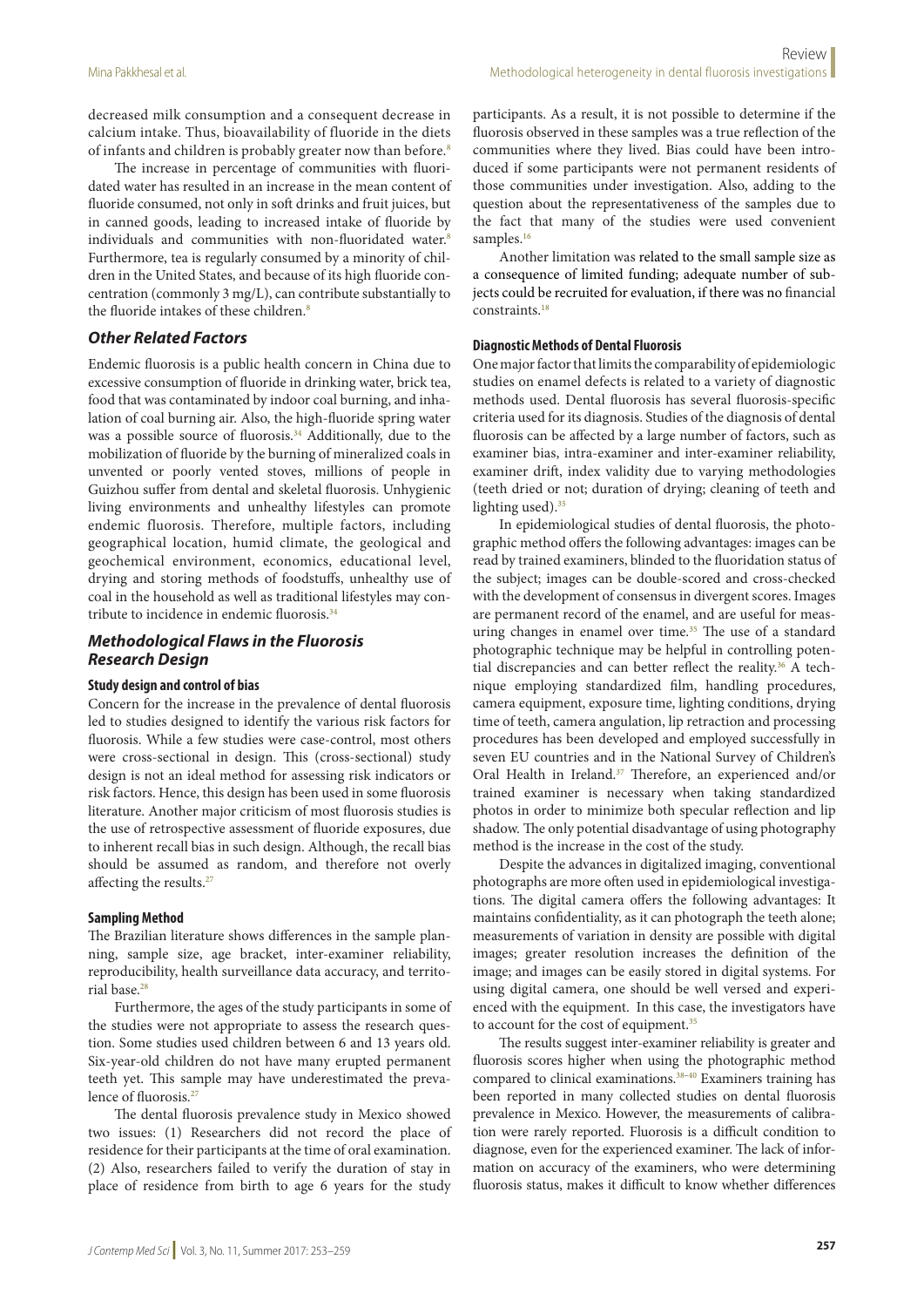decreased milk consumption and a consequent decrease in calcium intake. Thus, bioavailability of fluoride in the diets of infants and children is probably greater now than before.<sup>8</sup>

The increase in percentage of communities with fluoridated water has resulted in an increase in the mean content of fluoride consumed, not only in soft drinks and fruit juices, but in canned goods, leading to increased intake of fluoride by individuals and communities with non-fluoridated water.<sup>8</sup> Furthermore, tea is regularly consumed by a minority of children in the United States, and because of its high fluoride concentration (commonly 3 mg/L), can contribute substantially to the fluoride intakes of these children.<sup>8</sup>

## *Other Related Factors*

Endemic fluorosis is a public health concern in China due to excessive consumption of fluoride in drinking water, brick tea, food that was contaminated by indoor coal burning, and inhalation of coal burning air. Also, the high-fluoride spring water was a possible source of fluorosis.<sup>34</sup> Additionally, due to the mobilization of fluoride by the burning of mineralized coals in unvented or poorly vented stoves, millions of people in Guizhou suffer from dental and skeletal fluorosis. Unhygienic living environments and unhealthy lifestyles can promote endemic fluorosis. Therefore, multiple factors, including geographical location, humid climate, the geological and geochemical environment, economics, educational level, drying and storing methods of foodstuffs, unhealthy use of coal in the household as well as traditional lifestyles may contribute to incidence in endemic fluorosis.<sup>34</sup>

## *Methodological Flaws in the Fluorosis Research Design*

## **Study design and control of bias**

Concern for the increase in the prevalence of dental fluorosis led to studies designed to identify the various risk factors for fluorosis. While a few studies were case-control, most others were cross-sectional in design. This (cross-sectional) study design is not an ideal method for assessing risk indicators or risk factors. Hence, this design has been used in some fluorosis literature. Another major criticism of most fluorosis studies is the use of retrospective assessment of fluoride exposures, due to inherent recall bias in such design. Although, the recall bias should be assumed as random, and therefore not overly affecting the results.<sup>27</sup>

#### **Sampling Method**

The Brazilian literature shows differences in the sample planning, sample size, age bracket, inter-examiner reliability, reproducibility, health surveillance data accuracy, and territorial base.28

Furthermore, the ages of the study participants in some of the studies were not appropriate to assess the research question. Some studies used children between 6 and 13 years old. Six-year-old children do not have many erupted permanent teeth yet. This sample may have underestimated the prevalence of fluorosis.<sup>27</sup>

The dental fluorosis prevalence study in Mexico showed two issues: (1) Researchers did not record the place of residence for their participants at the time of oral examination. (2) Also, researchers failed to verify the duration of stay in place of residence from birth to age 6 years for the study

participants. As a result, it is not possible to determine if the fluorosis observed in these samples was a true reflection of the communities where they lived. Bias could have been introduced if some participants were not permanent residents of those communities under investigation. Also, adding to the question about the representativeness of the samples due to the fact that many of the studies were used convenient samples.<sup>16</sup>

Another limitation was related to the small sample size as a consequence of limited funding; adequate number of subjects could be recruited for evaluation, if there was no financial constraints.18

#### **Diagnostic Methods of Dental Fluorosis**

One major factor that limits the comparability of epidemiologic studies on enamel defects is related to a variety of diagnostic methods used. Dental fluorosis has several fluorosis-specific criteria used for its diagnosis. Studies of the diagnosis of dental fluorosis can be affected by a large number of factors, such as examiner bias, intra-examiner and inter-examiner reliability, examiner drift, index validity due to varying methodologies (teeth dried or not; duration of drying; cleaning of teeth and lighting used).<sup>35</sup>

In epidemiological studies of dental fluorosis, the photographic method offers the following advantages: images can be read by trained examiners, blinded to the fluoridation status of the subject; images can be double-scored and cross-checked with the development of consensus in divergent scores. Images are permanent record of the enamel, and are useful for measuring changes in enamel over time.<sup>35</sup> The use of a standard photographic technique may be helpful in controlling potential discrepancies and can better reflect the reality.<sup>36</sup> A technique employing standardized film, handling procedures, camera equipment, exposure time, lighting conditions, drying time of teeth, camera angulation, lip retraction and processing procedures has been developed and employed successfully in seven EU countries and in the National Survey of Children's Oral Health in Ireland.<sup>37</sup> Therefore, an experienced and/or trained examiner is necessary when taking standardized photos in order to minimize both specular reflection and lip shadow. The only potential disadvantage of using photography method is the increase in the cost of the study.

Despite the advances in digitalized imaging, conventional photographs are more often used in epidemiological investigations. The digital camera offers the following advantages: It maintains confidentiality, as it can photograph the teeth alone; measurements of variation in density are possible with digital images; greater resolution increases the definition of the image; and images can be easily stored in digital systems. For using digital camera, one should be well versed and experienced with the equipment. In this case, the investigators have to account for the cost of equipment.<sup>35</sup>

The results suggest inter-examiner reliability is greater and fluorosis scores higher when using the photographic method compared to clinical examinations.<sup>38-40</sup> Examiners training has been reported in many collected studies on dental fluorosis prevalence in Mexico. However, the measurements of calibration were rarely reported. Fluorosis is a difficult condition to diagnose, even for the experienced examiner. The lack of information on accuracy of the examiners, who were determining fluorosis status, makes it difficult to know whether differences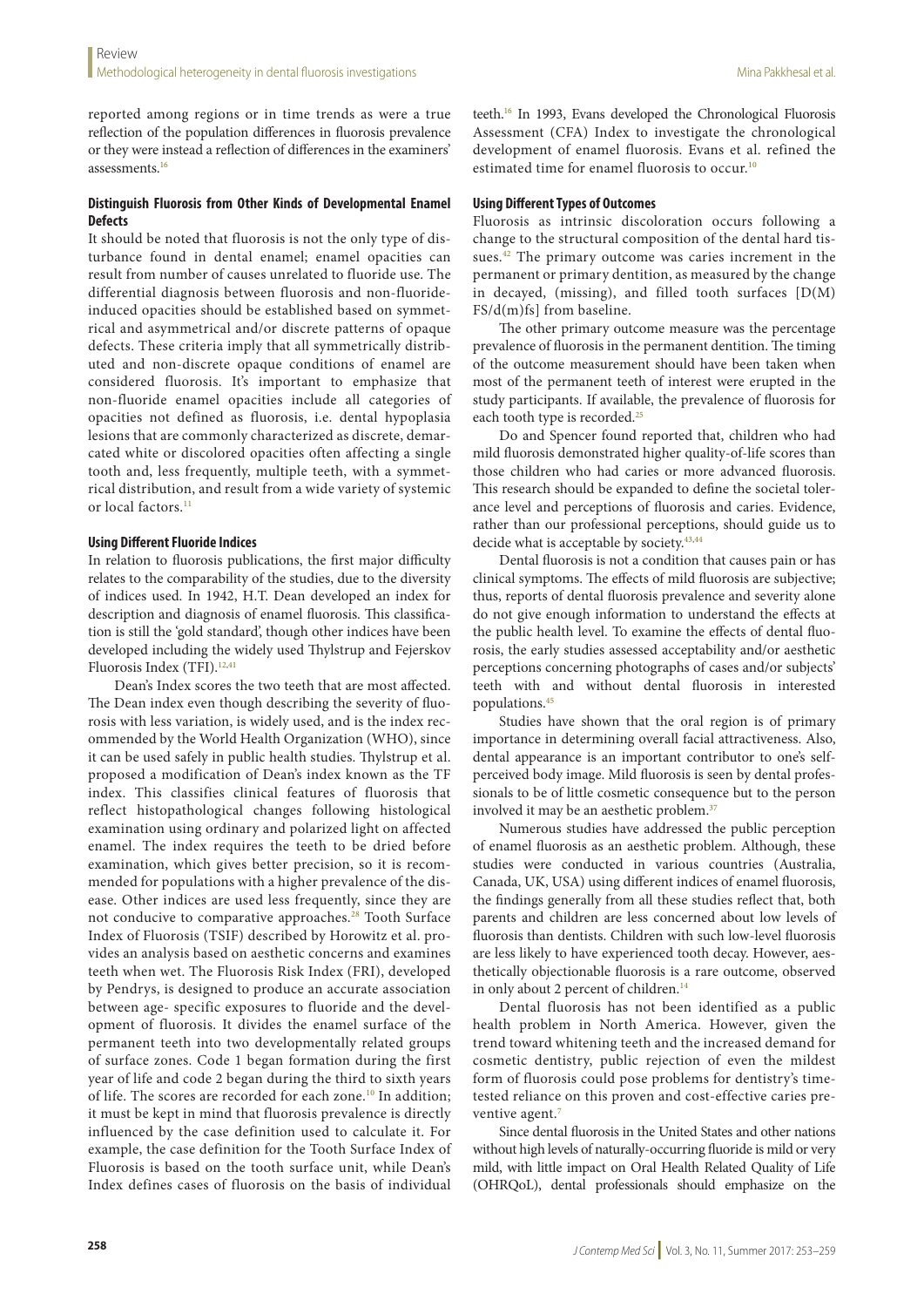reported among regions or in time trends as were a true reflection of the population differences in fluorosis prevalence or they were instead a reflection of differences in the examiners' assessments.<sup>16</sup>

## **Distinguish Fluorosis from Other Kinds of Developmental Enamel Defects**

It should be noted that fluorosis is not the only type of disturbance found in dental enamel; enamel opacities can result from number of causes unrelated to fluoride use. The differential diagnosis between fluorosis and non-fluorideinduced opacities should be established based on symmetrical and asymmetrical and/or discrete patterns of opaque defects. These criteria imply that all symmetrically distributed and non-discrete opaque conditions of enamel are considered fluorosis. It's important to emphasize that non-fluoride enamel opacities include all categories of opacities not defined as fluorosis, i.e. dental hypoplasia lesions that are commonly characterized as discrete, demarcated white or discolored opacities often affecting a single tooth and, less frequently, multiple teeth, with a symmetrical distribution, and result from a wide variety of systemic or local factors.<sup>11</sup>

### **Using Different Fluoride Indices**

In relation to fluorosis publications, the first major difficulty relates to the comparability of the studies, due to the diversity of indices used. In 1942, H.T. Dean developed an index for description and diagnosis of enamel fluorosis. This classification is still the 'gold standard', though other indices have been developed including the widely used Thylstrup and Fejerskov Fluorosis Index (TFI).<sup>12,41</sup>

Dean's Index scores the two teeth that are most affected. The Dean index even though describing the severity of fluorosis with less variation, is widely used, and is the index recommended by the World Health Organization (WHO), since it can be used safely in public health studies. Thylstrup et al. proposed a modification of Dean's index known as the TF index. This classifies clinical features of fluorosis that reflect histopathological changes following histological examination using ordinary and polarized light on affected enamel. The index requires the teeth to be dried before examination, which gives better precision, so it is recommended for populations with a higher prevalence of the disease. Other indices are used less frequently, since they are not conducive to comparative approaches.<sup>28</sup> Tooth Surface Index of Fluorosis (TSIF) described by Horowitz et al. provides an analysis based on aesthetic concerns and examines teeth when wet. The Fluorosis Risk Index (FRI), developed by Pendrys, is designed to produce an accurate association between age- specific exposures to fluoride and the development of fluorosis. It divides the enamel surface of the permanent teeth into two developmentally related groups of surface zones. Code 1 began formation during the first year of life and code 2 began during the third to sixth years of life. The scores are recorded for each zone.<sup>10</sup> In addition; it must be kept in mind that fluorosis prevalence is directly influenced by the case definition used to calculate it. For example, the case definition for the Tooth Surface Index of Fluorosis is based on the tooth surface unit, while Dean's Index defines cases of fluorosis on the basis of individual teeth.16 In 1993, Evans developed the Chronological Fluorosis Assessment (CFA) Index to investigate the chronological development of enamel fluorosis. Evans et al. refined the estimated time for enamel fluorosis to occur.10

#### **Using Different Types of Outcomes**

Fluorosis as intrinsic discoloration occurs following a change to the structural composition of the dental hard tissues.<sup>42</sup> The primary outcome was caries increment in the permanent or primary dentition, as measured by the change in decayed, (missing), and filled tooth surfaces [D(M) FS/d(m)fs] from baseline.

The other primary outcome measure was the percentage prevalence of fluorosis in the permanent dentition. The timing of the outcome measurement should have been taken when most of the permanent teeth of interest were erupted in the study participants. If available, the prevalence of fluorosis for each tooth type is recorded.<sup>25</sup>

Do and Spencer found reported that, children who had mild fluorosis demonstrated higher quality-of-life scores than those children who had caries or more advanced fluorosis. This research should be expanded to define the societal tolerance level and perceptions of fluorosis and caries. Evidence, rather than our professional perceptions, should guide us to decide what is acceptable by society.<sup>43,44</sup>

Dental fluorosis is not a condition that causes pain or has clinical symptoms. The effects of mild fluorosis are subjective; thus, reports of dental fluorosis prevalence and severity alone do not give enough information to understand the effects at the public health level. To examine the effects of dental fluorosis, the early studies assessed acceptability and/or aesthetic perceptions concerning photographs of cases and/or subjects' teeth with and without dental fluorosis in interested populations.45

Studies have shown that the oral region is of primary importance in determining overall facial attractiveness. Also, dental appearance is an important contributor to one's selfperceived body image. Mild fluorosis is seen by dental professionals to be of little cosmetic consequence but to the person involved it may be an aesthetic problem.<sup>37</sup>

Numerous studies have addressed the public perception of enamel fluorosis as an aesthetic problem. Although, these studies were conducted in various countries (Australia, Canada, UK, USA) using different indices of enamel fluorosis, the findings generally from all these studies reflect that, both parents and children are less concerned about low levels of fluorosis than dentists. Children with such low-level fluorosis are less likely to have experienced tooth decay. However, aesthetically objectionable fluorosis is a rare outcome, observed in only about 2 percent of children.<sup>14</sup>

Dental fluorosis has not been identified as a public health problem in North America. However, given the trend toward whitening teeth and the increased demand for cosmetic dentistry, public rejection of even the mildest form of fluorosis could pose problems for dentistry's timetested reliance on this proven and cost-effective caries preventive agent.<sup>7</sup>

Since dental fluorosis in the United States and other nations without high levels of naturally-occurring fluoride is mild or very mild, with little impact on Oral Health Related Quality of Life (OHRQoL), dental professionals should emphasize on the